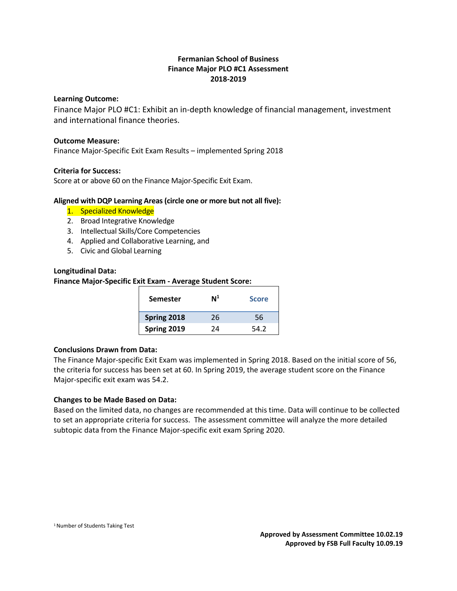# **Fermanian School of Business Finance Major PLO #C1 Assessment 2018-2019**

# **Learning Outcome:**

Finance Major PLO #C1: Exhibit an in-depth knowledge of financial management, investment and international finance theories.

#### **Outcome Measure:**

Finance Major-Specific Exit Exam Results – implemented Spring 2018

# **Criteria for Success:**

Score at or above 60 on the Finance Major-Specific Exit Exam.

# **Aligned with DQP Learning Areas (circle one or more but not all five):**

- 1. Specialized Knowledge
- 2. Broad Integrative Knowledge
- 3. Intellectual Skills/Core Competencies
- 4. Applied and Collaborative Learning, and
- 5. Civic and Global Learning

# **Longitudinal Data:**

# **Finance Major-Specific Exit Exam - Average Student Score:**

| <b>Semester</b> | $\mathsf{N}^1$ | <b>Score</b> |
|-----------------|----------------|--------------|
| Spring 2018     | 26             | 56           |
| Spring 2019     | 2Δ             | 54.2         |

#### **Conclusions Drawn from Data:**

The Finance Major-specific Exit Exam was implemented in Spring 2018. Based on the initial score of 56, the criteria for success has been set at 60. In Spring 2019, the average student score on the Finance Major-specific exit exam was 54.2.

# **Changes to be Made Based on Data:**

Based on the limited data, no changes are recommended at this time. Data will continue to be collected to set an appropriate criteria for success. The assessment committee will analyze the more detailed subtopic data from the Finance Major-specific exit exam Spring 2020.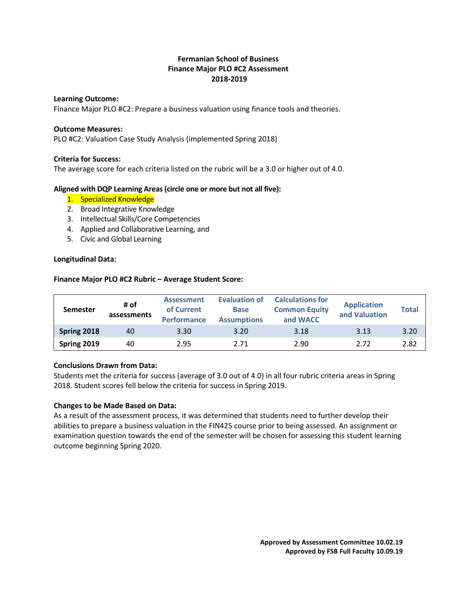# **Fermanian School of Business Finance Major PLO #C2 Assessment 2018-2019**

#### **Learning Outcome:**

Finance Major PLO #C2: Prepare a business valuation using finance tools and theories.

# **Outcome Measures:**

PLO #C2: Valuation Case Study Analysis (implemented Spring 2018)

# **Criteria for Success:**

The average score for each criteria listed on the rubric will be a 3.0 or higher out of 4.0.

# **Aligned with DQP Learning Areas (circle one or more but not all five):**

- 1. Specialized Knowledge
- 2. Broad Integrative Knowledge
- 3. Intellectual Skills/Core Competencies
- 4. Applied and Collaborative Learning, and
- 5. Civic and Global Learning

# **Longitudinal Data:**

# **Finance Major PLO #C2 Rubric – Average Student Score:**

| <b>Semester</b> | # of<br>assessments | <b>Assessment</b><br>of Current<br><b>Performance</b> | <b>Evaluation of</b><br><b>Base</b><br><b>Assumptions</b> | <b>Calculations for</b><br><b>Common Equity</b><br>and WACC | <b>Application</b><br>and Valuation | <b>Total</b> |
|-----------------|---------------------|-------------------------------------------------------|-----------------------------------------------------------|-------------------------------------------------------------|-------------------------------------|--------------|
| Spring 2018     | 40                  | 3.30                                                  | 3.20                                                      | 3.18                                                        | 3.13                                | 3.20         |
| Spring 2019     | 40                  | 2.95                                                  | 2.71                                                      | 2.90                                                        | 2.72                                | 2.82         |

# **Conclusions Drawn from Data:**

Students met the criteria for success (average of 3.0 out of 4.0) in all four rubric criteria areas in Spring 2018. Student scores fell below the criteria for success in Spring 2019.

# **Changes to be Made Based on Data:**

As a result of the assessment process, it was determined that students need to further develop their abilities to prepare a business valuation in the FIN425 course prior to being assessed. An assignment or examination question towards the end of the semester will be chosen for assessing this student learning outcome beginning Spring 2020.